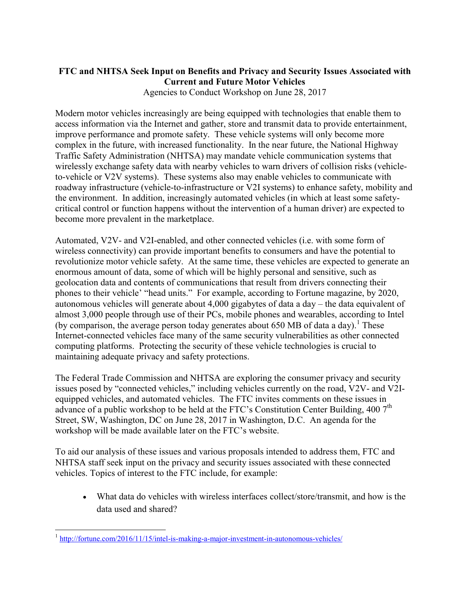## **FTC and NHTSA Seek Input on Benefits and Privacy and Security Issues Associated with Current and Future Motor Vehicles**

Agencies to Conduct Workshop on June 28, 2017

Modern motor vehicles increasingly are being equipped with technologies that enable them to access information via the Internet and gather, store and transmit data to provide entertainment, improve performance and promote safety. These vehicle systems will only become more complex in the future, with increased functionality. In the near future, the National Highway Traffic Safety Administration (NHTSA) may mandate vehicle communication systems that wirelessly exchange safety data with nearby vehicles to warn drivers of collision risks (vehicleto-vehicle or V2V systems). These systems also may enable vehicles to communicate with roadway infrastructure (vehicle-to-infrastructure or V2I systems) to enhance safety, mobility and the environment. In addition, increasingly automated vehicles (in which at least some safetycritical control or function happens without the intervention of a human driver) are expected to become more prevalent in the marketplace.

Automated, V2V- and V2I-enabled, and other connected vehicles (i.e. with some form of wireless connectivity) can provide important benefits to consumers and have the potential to revolutionize motor vehicle safety. At the same time, these vehicles are expected to generate an enormous amount of data, some of which will be highly personal and sensitive, such as geolocation data and contents of communications that result from drivers connecting their phones to their vehicle' "head units." For example, according to Fortune magazine, by 2020, autonomous vehicles will generate about 4,000 gigabytes of data a day – the data equivalent of almost 3,000 people through use of their PCs, mobile phones and wearables, according to Intel (by comparison, the average person today generates about 650 MB of data a day).<sup>1</sup> These Internet-connected vehicles face many of the same security vulnerabilities as other connected computing platforms. Protecting the security of these vehicle technologies is crucial to maintaining adequate privacy and safety protections.

The Federal Trade Commission and NHTSA are exploring the consumer privacy and security issues posed by "connected vehicles," including vehicles currently on the road, V2V- and V2Iequipped vehicles, and automated vehicles. The FTC invites comments on these issues in advance of a public workshop to be held at the FTC's Constitution Center Building, 400 7<sup>th</sup> Street, SW, Washington, DC on June 28, 2017 in Washington, D.C. An agenda for the workshop will be made available later on the FTC's website.

To aid our analysis of these issues and various proposals intended to address them, FTC and NHTSA staff seek input on the privacy and security issues associated with these connected vehicles. Topics of interest to the FTC include, for example:

 What data do vehicles with wireless interfaces collect/store/transmit, and how is the data used and shared?

<sup>&</sup>lt;sup>1</sup> <http://fortune.com/2016/11/15/intel-is-making-a-major-investment-in-autonomous-vehicles/>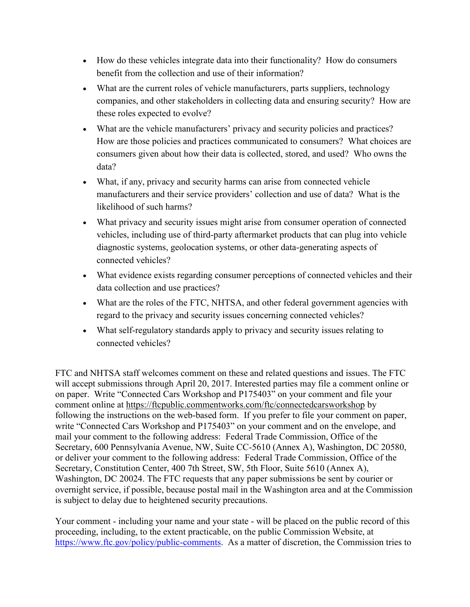- How do these vehicles integrate data into their functionality? How do consumers benefit from the collection and use of their information?
- What are the current roles of vehicle manufacturers, parts suppliers, technology companies, and other stakeholders in collecting data and ensuring security? How are these roles expected to evolve?
- What are the vehicle manufacturers' privacy and security policies and practices? How are those policies and practices communicated to consumers? What choices are consumers given about how their data is collected, stored, and used? Who owns the data?
- What, if any, privacy and security harms can arise from connected vehicle manufacturers and their service providers' collection and use of data? What is the likelihood of such harms?
- What privacy and security issues might arise from consumer operation of connected vehicles, including use of third-party aftermarket products that can plug into vehicle diagnostic systems, geolocation systems, or other data-generating aspects of connected vehicles?
- What evidence exists regarding consumer perceptions of connected vehicles and their data collection and use practices?
- What are the roles of the FTC, NHTSA, and other federal government agencies with regard to the privacy and security issues concerning connected vehicles?
- What self-regulatory standards apply to privacy and security issues relating to connected vehicles?

FTC and NHTSA staff welcomes comment on these and related questions and issues. The FTC will accept submissions through April 20, 2017. Interested parties may file a comment online or on paper. Write "Connected Cars Workshop and P175403" on your comment and file your comment online at<https://ftcpublic.commentworks.com/ftc/connectedcarsworkshop> by following the instructions on the web-based form. If you prefer to file your comment on paper, write "Connected Cars Workshop and P175403" on your comment and on the envelope, and mail your comment to the following address: Federal Trade Commission, Office of the Secretary, 600 Pennsylvania Avenue, NW, Suite CC-5610 (Annex A), Washington, DC 20580, or deliver your comment to the following address: Federal Trade Commission, Office of the Secretary, Constitution Center, 400 7th Street, SW, 5th Floor, Suite 5610 (Annex A), Washington, DC 20024. The FTC requests that any paper submissions be sent by courier or overnight service, if possible, because postal mail in the Washington area and at the Commission is subject to delay due to heightened security precautions.

Your comment - including your name and your state - will be placed on the public record of this proceeding, including, to the extent practicable, on the public Commission Website, at [https://www.ftc.gov/policy/public-comments.](https://www.ftc.gov/policy/public-comments) As a matter of discretion, the Commission tries to